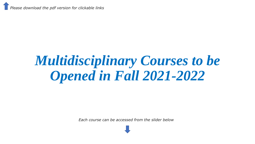*Please download the pdf version for clickable links*

# *Multidisciplinary Courses to be Opened in Fall 2021-2022*

*Each course can be accessed from the slider below*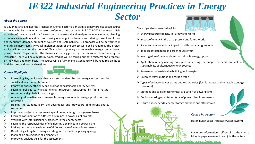# *IE322 Industrial Engineering Practices in Energy Sector About the Course*

IE 322 Industrial Engineering Practices in Energy Sector is a multidisciplinary project-based course to be taught by an energy industry professional instructor in Fall 2021-2022 Semester. Main activities of the course will be focused on to understand and analyze the management, planning, economical evaluation and decision making of energy investments, considering current and future energy supply, demand, amount of sources and sustainability. Full proposal will be performed in multidisciplinary teams. Physical implementation of the project will not be required. The project topics will be based on the theme of "Evaluation of primary and renewable energy sources based power plants". Topics within the theme can be suggested by the teams or chosen among the instructor. There will be a midterm exam, grading will be carried out both midterm and proposals on individual and team basis. The course will be fully online, attendance will be required online to both lectures and practical sessions.

### *Course Highlights*



- Presenting key indicators that are used to describe the energy system and its social and environmental impact
- Improving energy efficiency and promoting sustainable energy systems
- Learning policies to manage energy resources constrained by finite natural resources and global climate change
- $\triangleright$  Analyzing alternative and renewable energy sources in energy production and utilization
- Helping the students learn the advantages and drawbacks of different energy resources
- ➢ Improving project management capabilities on energy management issues
- ➢ Learning coordination of different disciplines in power plant projects
- ➢ Working with interdisciplinary practices in the energy sector
- ➢ Learning the responsibilities of engineering disciplines in a power plant
- ➢ Making decision and evaluation of different type of energy investments
- ➢ Developing a long-term energy strategy with a multidisciplinary synergy
- ➢ Planning on an engineering perspective
- ➢ Improving analytic skills for the assessments



- $\triangleright$  Energy resource capacity in Turkey and World
- $\triangleright$  Impact of energy in the past, present and future World
- $\triangleright$  Social and environmental impacts of different energy sources
- $\triangleright$  Impacts of fossil fuels and greenhouse effect
- $\triangleright$  Investigation of renewable and sustainable energy options
- $\triangleright$  Application of engineering principles underlying the supply, demand, amount and sustainability of alternative energy sources
- $\triangleright$  Assessment of sustainable building technologies
- $\triangleright$  Green energy solutions and carbon trade
- ➢ Types of primary power plants and technologies (fossil, nuclear and renewable energy resources)
- $\triangleright$  Methods and tools of economical evaluation of power plants
- $\triangleright$  Decision making on different type of power plant investments
- $\triangleright$  Future energy needs, energy storage methods and alternatives



### *Course Instructor:*

And the same of the same of the same

Hasan Burak Basar (hbbasar@vatecco.com)

For more information, self-enroll to the course Moodle page, examine it, and join the lecture.

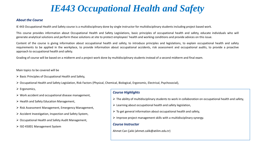# *IE443 Occupational Health and Safety*

## *About the Course*

IE 443 Occupational Health and Safety course is a multidisciplinary done by single instructor for multidisciplinary students including project based work.

This course provides information about Occupational Health and Safety Legislations, basic principles of occupational health and safety, educate individuals who will generate analytical solutions and perform these solutions at site to protect employees' health and working conditions and provide advices on this issue.

Content of the course is giving information about occupational health and safety, to introduce principles and legislations, to explain occupational health and safety requirements to be applied in the workplace, to provide information about occupational accidents, risk assessment and occupational audits, to provide a proactive approach to occupational health and safety.

Grading of course will be based on a midterm and a project work done by multidisciplinary students instead of a second midterm and final exam.

Main topics to be covered will be

- ➢ Basic Principles of Occupational Health and Safety,
- ➢ Occupational Health and Safety Legislation, Risk Factors (Physical, Chemical, Biological, Ergonomic, Electrical, Psychosocial),
- ➢ Ergonomics,
- ➢ Work accident and occupational disease management,
- ➢ Health and Safety Education Management,
- ➢ Risk Assessment Management, Emergency Management,
- ➢ Accident Investigation, Inspection and Safety System,
- ➢ Occupational Health and Safety Audit Management,
- ➢ ISO 45001 Management System

# *Course Highlights*

- $\triangleright$  The ability of multidisciplinary students to work in collaboration on occupational health and safety,
- ➢ Learning about occupational health and safety legislation,
- $\triangleright$  To get general information about occupational health and safety,
- $\triangleright$  Improve project management skills with a multidisciplinary synergy.

# *Course Instructor*

Ahmet Can Çalık (ahmet.calik@atilim.edu.tr)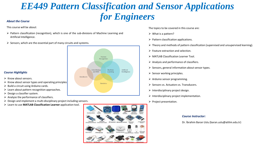# *EE449 Pattern Classification and Sensor Applications for Engineers*

This course will be about:

- $\triangleright$  Pattern classification (recognition), which is one of the sub-divisions of Machine Learning and Artificial Intelligence.
- $\triangleright$  Sensors, which are the essential part of many circuits and systems.

# *Course Highlights*

- $\triangleright$  Know about sensors.
- $\triangleright$  Know about sensor types and operating principles
- $\triangleright$  Build a circuit using Arduino cards.
- $\triangleright$  Learn about pattern recognition approaches.
- $\triangleright$  Design a classifier system.
- $\triangleright$  Analyze the performance of classifiers.
- $\triangleright$  Design and implement a multi-disciplinary project including sensors.
- ➢ Learn to use **MATLAB Classification Learner** application tool.



The topics to be covered in this course are:

- $\triangleright$  What is a pattern?
- $\triangleright$  Pattern classification applications.
- ➢ Theory and methods of pattern classification (supervised and unsupervised learning).
- $\triangleright$  Feature extraction and selection.
- ➢ MATLAB Classification Learner Tool.
- $\triangleright$  Analysis and performance of classifiers.
- $\triangleright$  Sensors, general information about sensor types.
- $\triangleright$  Sensor working principles.
- $\triangleright$  Arduino sensor programming.
- ➢ Sensors vs. Actuators vs. Transducers.
- $\triangleright$  Interdisciplinary project design.
- $\triangleright$  Interdisciplinary project implementation.
- ➢ Project presentation.

### *Course Instructor:*

Dr. İbrahim Baran Uslu (baran.uslu@atilim.edu.tr)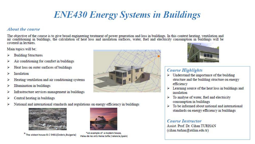# **ENE430 Energy Systems in Buildings**

# About the course

The objective of the course is to give broad engineering treatment of power generation and loss in buildings. In this context heating, ventilation and<br>air conditioning in buildings, the calculation of heat loss and insulat covered in lectures

Main topics will be:

- **Building Structures**
- Air conditioning for comfort in buildings
- Heat loss on outer surfaces of buildings
- Insulation
- Heating ventilation and air conditioning systems
- Illumination in buildings
- Infrastructure services management in buildings
- Central heating in buildings
- National and international standards and regulations on energy efficiency in buildings



The oldest house B.C 5481(Dobric Bulgaria)



\*An example of a modern house. Palau de les Arts Reina Sofía (Valencia, Spain)



# **Course Highlights**

- $\triangleright$  Understand the importance of the building structure and the building structure on energy efficiency
- Learning source of the heat loss in buildings and ↘ insulation
- To analyse of water, fuel and electricity consumption in buildings
- To be informed about national and international standards on energy efficiency in buildings

# **Course Instructor**

Assist Prof Dr Cihan TURHAN (cihan.turhan@atilim.edu.tr)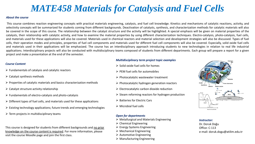# *MATE458 Materials for Catalysis and Fuel Cells*

### *About the course*

This course combines reaction engineering concepts with practical materials engineering, catalysis, and fuel cell knowledge. Kinetics and mechanisms of catalytic reactions, activity, and selectivity concepts will be summarized for students coming from different backgrounds. Deactivation of catalysts, synthesis, and characterization methods for catalytic materials will also be covered in the scope of this course. The relationship between the catalyst structure and the activity will be highlighted. A special emphasis will be given on material properties of the catalysts, their relationship with catalytic activity, and how to examine the material properties by using different characterization techniques. Electro-catalysis, photo-catalysis, fuel cells, and materials used for these applications will also be covered. Materials used in chemical reactors and material selection and development strategies will also be discussed. Types of fuel cells, their operation modes and principles, properties of fuel cell components and materials used for different fuel cell components will also be covered. Especially, solid oxide fuel cells and materials used in their applications will be emphasized. The course has an interdisciplinary approach introducing students to new technologies in relation to real life industrial applications. Interdisciplinary projects will also be conducted with multidisciplinary teams composed of students from different departments. Each group will prepare a report for a given project and make a presentation at the end of the semester.

### *Course Content*

- $\triangleright$  Fundamentals of catalysis and catalytic reactors
- $\triangleright$  Catalyst synthesis methods
- ➢ Properties of catalytic materials and basics characterization methods
- $\triangleright$  Catalyst structure activity relationship
- $\triangleright$  Fundamentals of electro-catalysis and photo-catalysis
- $\triangleright$  Different types of fuel cells, and materials used for these applications
- $\triangleright$  Existing technology applications; future trends and emerging technologies
- $\triangleright$  Term projects in multidisciplinary teams

This course is designed for students from different backgrounds and no prior knowledge on the course content is required. For more information, please visit the course Moodle page and join the first class.

### *Multidisciplinary term project topic examples*

- $\triangleright$  Solid oxide fuel cells for homes
- $\triangleright$  PEM fuel cells for automobiles
- ➢ Photocatalytic wastewater treatment
- ➢ Photocatalytic hydrogen generation reactors
- $\triangleright$  Electrocatalytic carbon dioxide reduction
- $\triangleright$  Steam reforming reactors for hydrogen production
- ➢ Batteries for Electric Cars
- $\triangleright$  Microbial fuel cells

## *Open for departments*

- ➢ Metallurgical and Materials Engineering
- $\triangleright$  Chemical Engineering
- ➢ Energy Systems Engineering
- $\triangleright$  Mechanical Engineering
- ➢ Automotive Engineering
- ➢ Manufacturing Engineering



### *Instructor:*

Dr. Doruk Doğu Office: C-113 e-mail: doruk.dogu@atilim.edu.tr